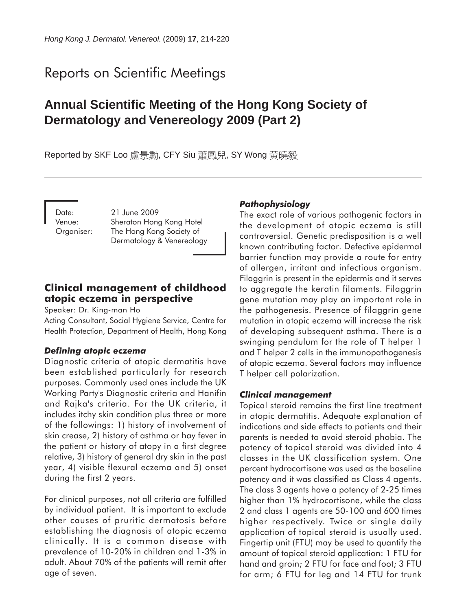# Reports on Scientific Meetings

## **Annual Scientific Meeting of the Hong Kong Society of Dermatology and Venereology 2009 (Part 2)**

Reported by SKF Loo 盧景勳, CFY Siu 蕭鳳兒, SY Wong 黃曉毅

Date: 21 June 2009 Venue: Sheraton Hong Kong Hotel Organiser: The Hong Kong Society of Dermatology & Venereology

### **Clinical management of childhood atopic eczema in perspective**

Speaker: Dr. King-man Ho

Acting Consultant, Social Hygiene Service, Centre for Health Protection, Department of Health, Hong Kong

### *Defining atopic eczema*

Diagnostic criteria of atopic dermatitis have been established particularly for research purposes. Commonly used ones include the UK Working Party's Diagnostic criteria and Hanifin and Rajka's criteria. For the UK criteria, it includes itchy skin condition plus three or more of the followings: 1) history of involvement of skin crease, 2) history of asthma or hay fever in the patient or history of atopy in a first degree relative, 3) history of general dry skin in the past year, 4) visible flexural eczema and 5) onset during the first 2 years.

For clinical purposes, not all criteria are fulfilled by individual patient. It is important to exclude other causes of pruritic dermatosis before establishing the diagnosis of atopic eczema clinically. It is a common disease with prevalence of 10-20% in children and 1-3% in adult. About 70% of the patients will remit after age of seven.

### *Pathophysiology*

The exact role of various pathogenic factors in the development of atopic eczema is still controversial. Genetic predisposition is a well known contributing factor. Defective epidermal barrier function may provide a route for entry of allergen, irritant and infectious organism. Filaggrin is present in the epidermis and it serves to aggregate the keratin filaments. Filaggrin gene mutation may play an important role in the pathogenesis. Presence of filaggrin gene mutation in atopic eczema will increase the risk of developing subsequent asthma. There is a swinging pendulum for the role of T helper 1 and T helper 2 cells in the immunopathogenesis of atopic eczema. Several factors may influence T helper cell polarization.

### *Clinical management*

Topical steroid remains the first line treatment in atopic dermatitis. Adequate explanation of indications and side effects to patients and their parents is needed to avoid steroid phobia. The potency of topical steroid was divided into 4 classes in the UK classification system. One percent hydrocortisone was used as the baseline potency and it was classified as Class 4 agents. The class 3 agents have a potency of 2-25 times higher than 1% hydrocortisone, while the class 2 and class 1 agents are 50-100 and 600 times higher respectively. Twice or single daily application of topical steroid is usually used. Fingertip unit (FTU) may be used to quantify the amount of topical steroid application: 1 FTU for hand and groin; 2 FTU for face and foot; 3 FTU for arm; 6 FTU for leg and 14 FTU for trunk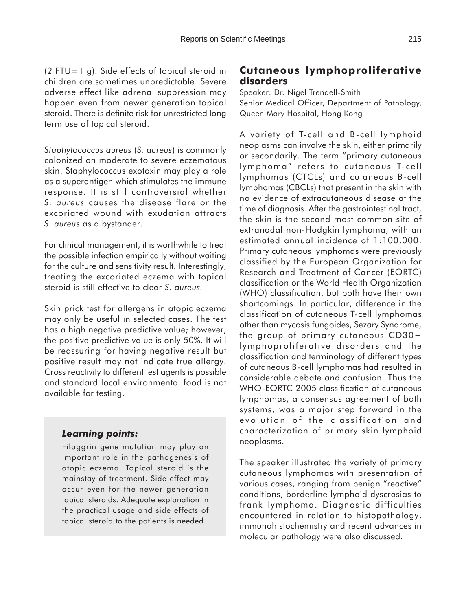$(2$  FTU=1 g). Side effects of topical steroid in children are sometimes unpredictable. Severe adverse effect like adrenal suppression may happen even from newer generation topical steroid. There is definite risk for unrestricted long term use of topical steroid.

*Staphylococcus aureus* (*S. aureus*) is commonly colonized on moderate to severe eczematous skin. Staphylococcus exotoxin may play a role as a superantigen which stimulates the immune response. It is still controversial whether *S. aureus* causes the disease flare or the excoriated wound with exudation attracts *S. aureus* as a bystander.

For clinical management, it is worthwhile to treat the possible infection empirically without waiting for the culture and sensitivity result. Interestingly, treating the excoriated eczema with topical steroid is still effective to clear *S. aureus.*

Skin prick test for allergens in atopic eczema may only be useful in selected cases. The test has a high negative predictive value; however, the positive predictive value is only 50%. It will be reassuring for having negative result but positive result may not indicate true allergy. Cross reactivity to different test agents is possible and standard local environmental food is not available for testing.

### *Learning points:*

Filaggrin gene mutation may play an important role in the pathogenesis of atopic eczema. Topical steroid is the mainstay of treatment. Side effect may occur even for the newer generation topical steroids. Adequate explanation in the practical usage and side effects of topical steroid to the patients is needed.

### **Cutaneous lymphoproliferative disorders**

Speaker: Dr. Nigel Trendell-Smith Senior Medical Officer, Department of Pathology, Queen Mary Hospital, Hong Kong

A variety of T-cell and B-cell lymphoid neoplasms can involve the skin, either primarily or secondarily. The term "primary cutaneous lymphoma" refers to cutaneous T-cell lymphomas (CTCLs) and cutaneous B-cell lymphomas (CBCLs) that present in the skin with no evidence of extracutaneous disease at the time of diagnosis. After the gastrointestinal tract, the skin is the second most common site of extranodal non-Hodgkin lymphoma, with an estimated annual incidence of 1:100,000. Primary cutaneous lymphomas were previously classified by the European Organization for Research and Treatment of Cancer (EORTC) classification or the World Health Organization (WHO) classification, but both have their own shortcomings. In particular, difference in the classification of cutaneous T-cell lymphomas other than mycosis fungoides, Sezary Syndrome, the group of primary cutaneous CD30+ lymphoproliferative disorders and the classification and terminology of different types of cutaneous B-cell lymphomas had resulted in considerable debate and confusion. Thus the WHO-EORTC 2005 classification of cutaneous lymphomas, a consensus agreement of both systems, was a major step forward in the evolution of the classification and characterization of primary skin lymphoid neoplasms.

The speaker illustrated the variety of primary cutaneous lymphomas with presentation of various cases, ranging from benign "reactive" conditions, borderline lymphoid dyscrasias to frank lymphoma. Diagnostic difficulties encountered in relation to histopathology, immunohistochemistry and recent advances in molecular pathology were also discussed.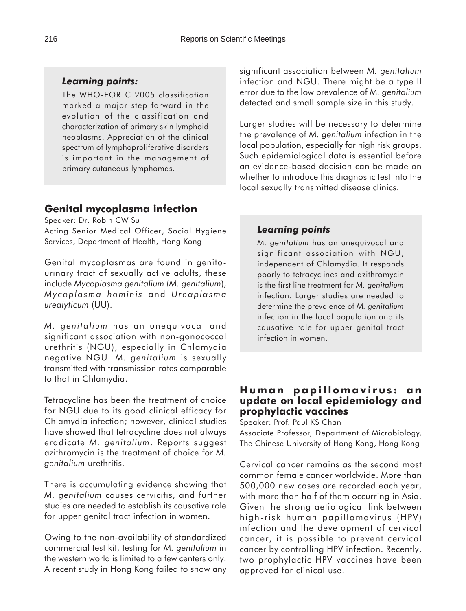### *Learning points:*

The WHO-EORTC 2005 classification marked a major step forward in the evolution of the classification and characterization of primary skin lymphoid neoplasms. Appreciation of the clinical spectrum of lymphoproliferative disorders is important in the management of primary cutaneous lymphomas.

### **Genital mycoplasma infection**

Speaker: Dr. Robin CW Su

Acting Senior Medical Officer, Social Hygiene Services, Department of Health, Hong Kong

Genital mycoplasmas are found in genitourinary tract of sexually active adults, these include *Mycoplasma genitalium* (*M. genitalium*), *Mycoplasma hominis* and *Ureaplasma urealyticum* (UU).

*M. genitalium* has an unequivocal and significant association with non-gonococcal urethritis (NGU), especially in Chlamydia negative NGU. *M. genitalium* is sexually transmitted with transmission rates comparable to that in Chlamydia.

Tetracycline has been the treatment of choice for NGU due to its good clinical efficacy for Chlamydia infection; however, clinical studies have showed that tetracycline does not always eradicate *M. genitalium*. Reports suggest azithromycin is the treatment of choice for *M. genitalium* urethritis.

There is accumulating evidence showing that *M. genitalium* causes cervicitis, and further studies are needed to establish its causative role for upper genital tract infection in women.

Owing to the non-availability of standardized commercial test kit, testing for *M. genitalium* in the western world is limited to a few centers only. A recent study in Hong Kong failed to show any significant association between *M. genitalium* infection and NGU. There might be a type II error due to the low prevalence of *M. genitalium* detected and small sample size in this study.

Larger studies will be necessary to determine the prevalence of *M. genitalium* infection in the local population, especially for high risk groups. Such epidemiological data is essential before an evidence-based decision can be made on whether to introduce this diagnostic test into the local sexually transmitted disease clinics.

#### *Learning points*

*M. genitalium* has an unequivocal and significant association with NGU, independent of Chlamydia. It responds poorly to tetracyclines and azithromycin is the first line treatment for *M. genitalium* infection. Larger studies are needed to determine the prevalence of *M. genitalium* infection in the local population and its causative role for upper genital tract infection in women.

### **Human papillomavirus: an update on local epidemiology and prophylactic vaccines**

Speaker: Prof. Paul KS Chan

Associate Professor, Department of Microbiology, The Chinese University of Hong Kong, Hong Kong

Cervical cancer remains as the second most common female cancer worldwide. More than 500,000 new cases are recorded each year, with more than half of them occurring in Asia. Given the strong aetiological link between high-risk human papillomavirus (HPV) infection and the development of cervical cancer, it is possible to prevent cervical cancer by controlling HPV infection. Recently, two prophylactic HPV vaccines have been approved for clinical use.